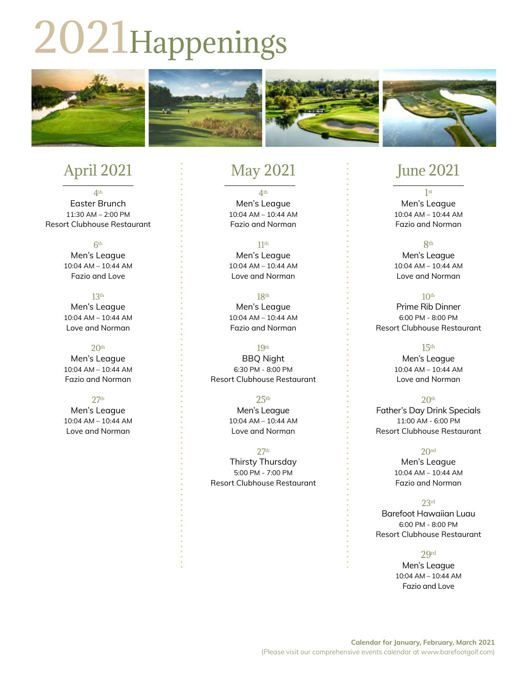# 2021Happenings



## April 2021

4th Easter Brunch 11:30 AM – 2:00 PM Resort Clubhouse Restaurant

> 6th Men's League 10:04 AM – 10:44 AM Fazio and Love

#### 13th

Men's League 10:04 AM – 10:44 AM Love and Norman

#### $20<sup>th</sup>$

Men's League 10:04 AM – 10:44 AM Fazio and Norman

#### 27th

Men's League 10:04 AM – 10:44 AM Love and Norman

# May 2021

4th Men's League 10:04 AM – 10:44 AM Fazio and Norman

#### 11th

Men's League 10:04 AM – 10:44 AM Love and Norman

18th Men's League 10:04 AM – 10:44 AM Fazio and Norman

#### 19th

BBQ Night 6:30 PM - 8:00 PM Resort Clubhouse Restaurant

#### $25<sup>th</sup>$

Men's League 10:04 AM – 10:44 AM Love and Norman

27th

Thirsty Thursday 5:00 PM - 7:00 PM Resort Clubhouse Restaurant

### June 2021

1st Men's League 10:04 AM – 10:44 AM Fazio and Norman

#### 8th

Men's League 10:04 AM – 10:44 AM Love and Norman

#### $10<sup>th</sup>$

Prime Rib Dinner 6:00 PM - 8:00 PM Resort Clubhouse Restaurant

#### $15<sup>th</sup>$

Men's League 10:04 AM – 10:44 AM Love and Norman

#### $20<sup>th</sup>$

Father's Day Drink Specials 11:00 AM - 6:00 PM Resort Clubhouse Restaurant

#### 20<sup>nd</sup>

Men's League 10:04 AM – 10:44 AM Fazio and Norman

#### 23rd

Barefoot Hawaiian Luau 6:00 PM - 8:00 PM Resort Clubhouse Restaurant

#### 29rd

Men's League 10:04 AM – 10:44 AM Fazio and Love